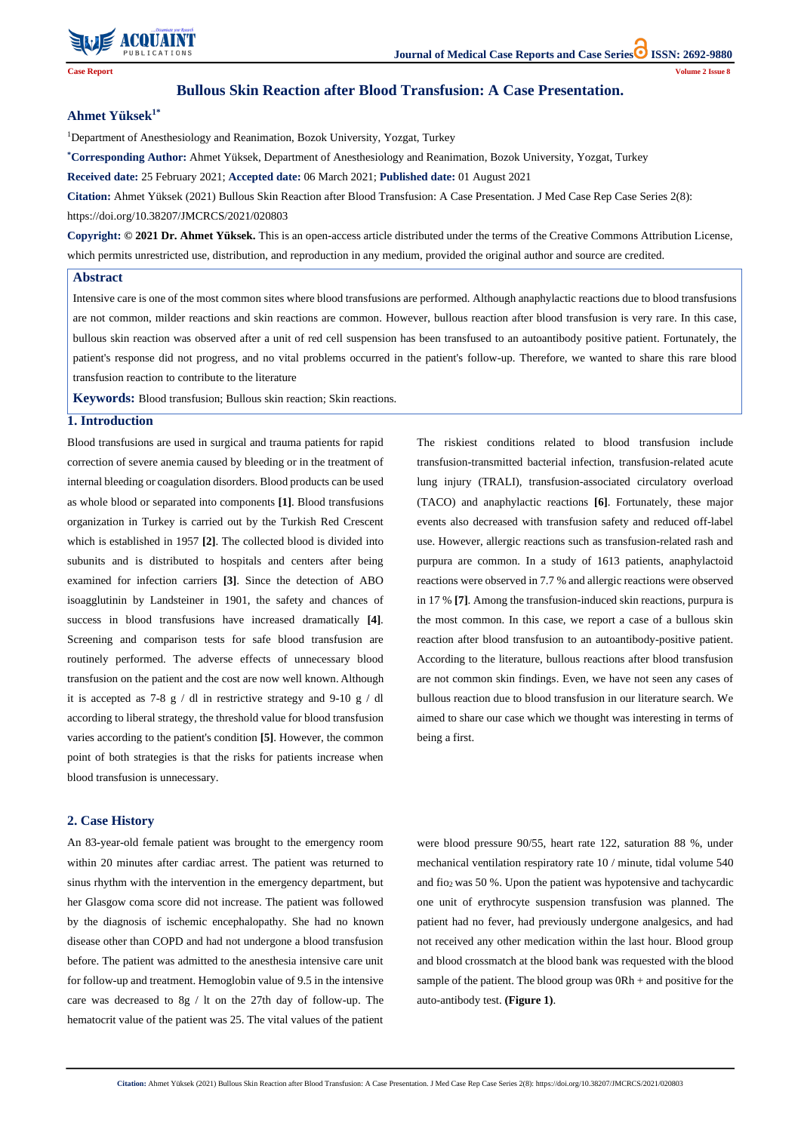

**Citation:** Ahmet Yüksek (2021) Bullous Skin Reaction after Blood Transfusion: A Case Presentation. J Med Case Rep Case Series 2(8): https://doi.org/10.38207/JMCRCS/2021/020803

**Case Report Volume 2 Issue 8**

# **Bullous Skin Reaction after Blood Transfusion: A Case Presentation.**

#### **Ahmet Yüksek1\***

<sup>1</sup>Department of Anesthesiology and Reanimation, Bozok University, Yozgat, Turkey

**\*Corresponding Author:** Ahmet Yüksek, Department of Anesthesiology and Reanimation, Bozok University, Yozgat, Turkey

**Received date:** 25 February 2021; **Accepted date:** 06 March 2021; **Published date:** 01 August 2021

**Citation:** Ahmet Yüksek (2021) Bullous Skin Reaction after Blood Transfusion: A Case Presentation. J Med Case Rep Case Series 2(8): https://doi.org/10.38207/JMCRCS/2021/020803

**Copyright: © 2021 Dr. Ahmet Yüksek.** This is an open-access article distributed under the terms of the Creative Commons Attribution License, which permits unrestricted use, distribution, and reproduction in any medium, provided the original author and source are credited.

## **1. Introduction**

Blood transfusions are used in surgical and trauma patients for rapid correction of severe anemia caused by bleeding or in the treatment of internal bleeding or coagulation disorders. Blood products can be used as whole blood or separated into components **[1]**. Blood transfusions organization in Turkey is carried out by the Turkish Red Crescent which is established in 1957 **[2]**. The collected blood is divided into subunits and is distributed to hospitals and centers after being examined for infection carriers **[3]**. Since the detection of ABO isoagglutinin by Landsteiner in 1901, the safety and chances of success in blood transfusions have increased dramatically **[4]**. Screening and comparison tests for safe blood transfusion are routinely performed. The adverse effects of unnecessary blood transfusion on the patient and the cost are now well known. Although it is accepted as 7-8 g / dl in restrictive strategy and 9-10 g / dl according to liberal strategy, the threshold value for blood transfusion varies according to the patient's condition **[5]**. However, the common point of both strategies is that the risks for patients increase when blood transfusion is unnecessary.

The riskiest conditions related to blood transfusion include transfusion-transmitted bacterial infection, transfusion-related acute lung injury (TRALI), transfusion-associated circulatory overload (TACO) and anaphylactic reactions **[6]**. Fortunately, these major events also decreased with transfusion safety and reduced off-label use. However, allergic reactions such as transfusion-related rash and purpura are common. In a study of 1613 patients, anaphylactoid reactions were observed in 7.7 % and allergic reactions were observed in 17 % **[7]**. Among the transfusion-induced skin reactions, purpura is the most common. In this case, we report a case of a bullous skin reaction after blood transfusion to an autoantibody-positive patient. According to the literature, bullous reactions after blood transfusion are not common skin findings. Even, we have not seen any cases of bullous reaction due to blood transfusion in our literature search. We aimed to share our case which we thought was interesting in terms of being a first.

## **2. Case History**

An 83-year-old female patient was brought to the emergency room

within 20 minutes after cardiac arrest. The patient was returned to sinus rhythm with the intervention in the emergency department, but her Glasgow coma score did not increase. The patient was followed by the diagnosis of ischemic encephalopathy. She had no known disease other than COPD and had not undergone a blood transfusion before. The patient was admitted to the anesthesia intensive care unit for follow-up and treatment. Hemoglobin value of 9.5 in the intensive care was decreased to 8g / lt on the 27th day of follow-up. The hematocrit value of the patient was 25. The vital values of the patient

mechanical ventilation respiratory rate 10 / minute, tidal volume 540 and fio2 was 50 %. Upon the patient was hypotensive and tachycardic one unit of erythrocyte suspension transfusion was planned. The patient had no fever, had previously undergone analgesics, and had not received any other medication within the last hour. Blood group and blood crossmatch at the blood bank was requested with the blood sample of the patient. The blood group was  $\text{ORh}$  + and positive for the auto-antibody test. **(Figure 1)**.

## **Abstract**

Intensive care is one of the most common sites where blood transfusions are performed. Although anaphylactic reactions due to blood transfusions are not common, milder reactions and skin reactions are common. However, bullous reaction after blood transfusion is very rare. In this case, bullous skin reaction was observed after a unit of red cell suspension has been transfused to an autoantibody positive patient. Fortunately, the patient's response did not progress, and no vital problems occurred in the patient's follow-up. Therefore, we wanted to share this rare blood transfusion reaction to contribute to the literature

**Keywords:** Blood transfusion; Bullous skin reaction; Skin reactions.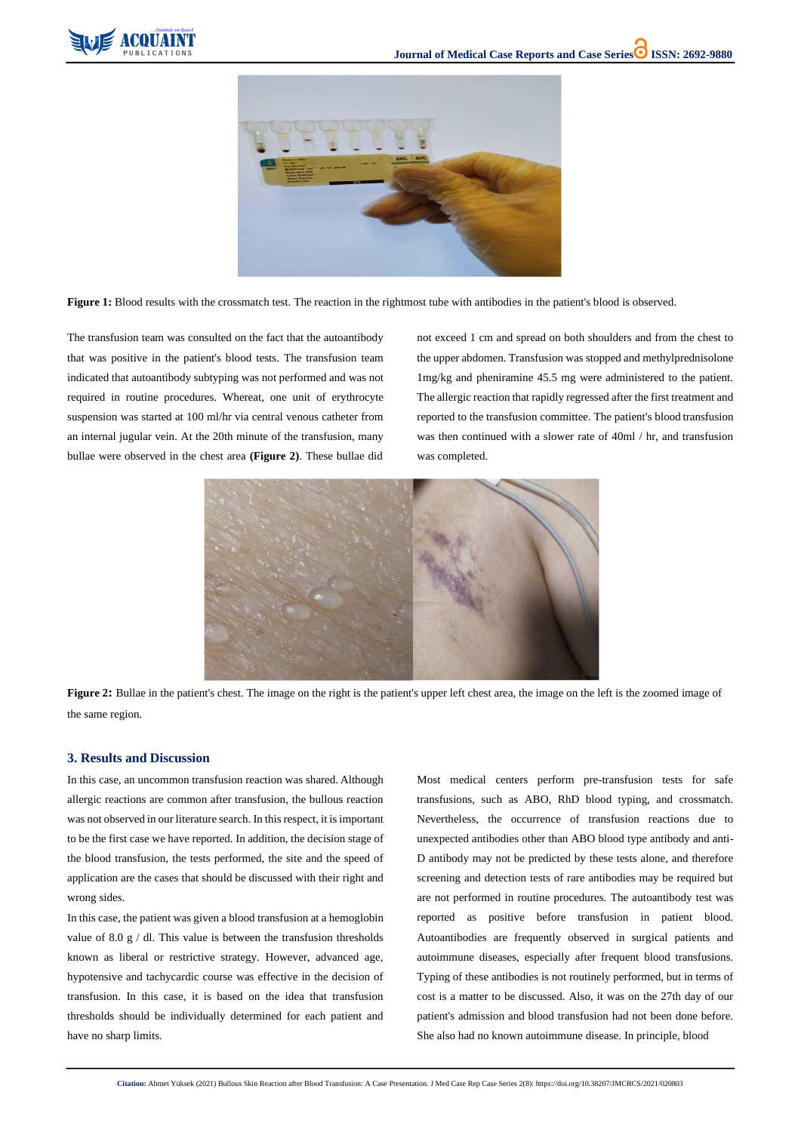



Figure 1: Blood results with the crossmatch test. The reaction in the rightmost tube with antibodies in the patient's blood is observed.

**Citation:** Ahmet Yüksek (2021) Bullous Skin Reaction after Blood Transfusion: A Case Presentation. J Med Case Rep Case Series 2(8): https://doi.org/10.38207/JMCRCS/2021/020803

The transfusion team was consulted on the fact that the autoantibody that was positive in the patient's blood tests. The transfusion team indicated that autoantibody subtyping was not performed and was not required in routine procedures. Whereat, one unit of erythrocyte suspension was started at 100 ml/hr via central venous catheter from an internal jugular vein. At the 20th minute of the transfusion, many bullae were observed in the chest area **(Figure 2)**. These bullae did



**Figure 2:** Bullae in the patient's chest. The image on the right is the patient's upper left chest area, the image on the left is the zoomed image of the same region.

not exceed 1 cm and spread on both shoulders and from the chest to the upper abdomen. Transfusion was stopped and methylprednisolone 1mg/kg and pheniramine 45.5 mg were administered to the patient. The allergic reaction that rapidly regressed after the first treatment and reported to the transfusion committee. The patient's blood transfusion was then continued with a slower rate of 40ml / hr, and transfusion was completed.

# **3. Results and Discussion**

In this case, an uncommon transfusion reaction was shared. Although allergic reactions are common after transfusion, the bullous reaction was not observed in our literature search. In this respect, it is important to be the first case we have reported. In addition, the decision stage of the blood transfusion, the tests performed, the site and the speed of application are the cases that should be discussed with their right and wrong sides.

In this case, the patient was given a blood transfusion at a hemoglobin value of 8.0 g  $/$  dl. This value is between the transfusion thresholds known as liberal or restrictive strategy. However, advanced age, hypotensive and tachycardic course was effective in the decision of transfusion. In this case, it is based on the idea that transfusion thresholds should be individually determined for each patient and have no sharp limits.

Most medical centers perform pre-transfusion tests for safe transfusions, such as ABO, RhD blood typing, and crossmatch. Nevertheless, the occurrence of transfusion reactions due to unexpected antibodies other than ABO blood type antibody and anti-D antibody may not be predicted by these tests alone, and therefore screening and detection tests of rare antibodies may be required but are not performed in routine procedures. The autoantibody test was reported as positive before transfusion in patient blood. Autoantibodies are frequently observed in surgical patients and autoimmune diseases, especially after frequent blood transfusions. Typing of these antibodies is not routinely performed, but in terms of cost is a matter to be discussed. Also, it was on the 27th day of our patient's admission and blood transfusion had not been done before. She also had no known autoimmune disease. In principle, blood